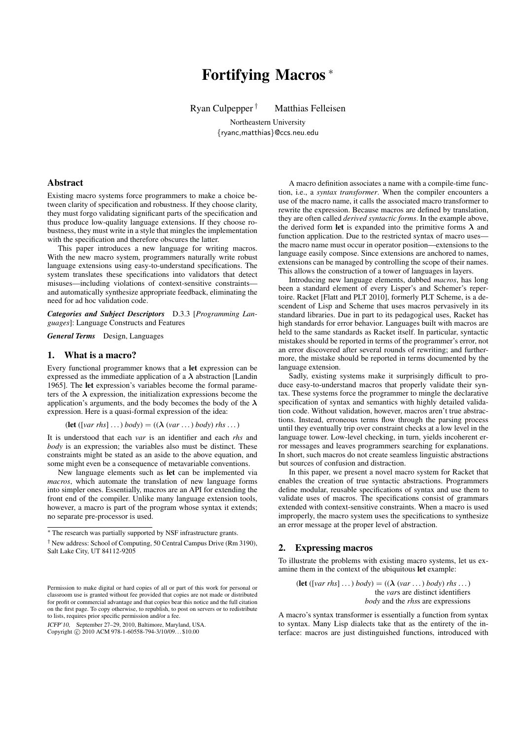# Fortifying Macros <sup>∗</sup>

Ryan Culpepper † Matthias Felleisen

Northeastern University {ryanc,matthias}@ccs.neu.edu

# Abstract

Existing macro systems force programmers to make a choice between clarity of specification and robustness. If they choose clarity, they must forgo validating significant parts of the specification and thus produce low-quality language extensions. If they choose robustness, they must write in a style that mingles the implementation with the specification and therefore obscures the latter.

This paper introduces a new language for writing macros. With the new macro system, programmers naturally write robust language extensions using easy-to-understand specifications. The system translates these specifications into validators that detect misuses—including violations of context-sensitive constraints and automatically synthesize appropriate feedback, eliminating the need for ad hoc validation code.

*Categories and Subject Descriptors* D.3.3 [*Programming Languages*]: Language Constructs and Features

*General Terms* Design, Languages

# 1. What is a macro?

Every functional programmer knows that a let expression can be expressed as the immediate application of a  $\lambda$  abstraction [Landin] 1965]. The let expression's variables become the formal parameters of the  $\lambda$  expression, the initialization expressions become the application's arguments, and the body becomes the body of the  $\lambda$ expression. Here is a quasi-formal expression of the idea:

 $(\text{let } ([var \, \text{rhs}] \dots) \, \text{body}) = ((\lambda \, (\text{var} \dots) \, \text{body}) \, \text{rhs} \dots)$ 

It is understood that each *var* is an identifier and each *rhs* and *body* is an expression; the variables also must be distinct. These constraints might be stated as an aside to the above equation, and some might even be a consequence of metavariable conventions.

New language elements such as let can be implemented via *macros*, which automate the translation of new language forms into simpler ones. Essentially, macros are an API for extending the front end of the compiler. Unlike many language extension tools, however, a macro is part of the program whose syntax it extends; no separate pre-processor is used.

A macro definition associates a name with a compile-time function, i.e., a *syntax transformer*. When the compiler encounters a use of the macro name, it calls the associated macro transformer to rewrite the expression. Because macros are defined by translation, they are often called *derived syntactic forms*. In the example above, the derived form let is expanded into the primitive forms  $\lambda$  and function application. Due to the restricted syntax of macro usesthe macro name must occur in operator position—extensions to the language easily compose. Since extensions are anchored to names, extensions can be managed by controlling the scope of their names. This allows the construction of a tower of languages in layers.

Introducing new language elements, dubbed *macros*, has long been a standard element of every Lisper's and Schemer's repertoire. Racket [Flatt and PLT 2010], formerly PLT Scheme, is a descendent of Lisp and Scheme that uses macros pervasively in its standard libraries. Due in part to its pedagogical uses, Racket has high standards for error behavior. Languages built with macros are held to the same standards as Racket itself. In particular, syntactic mistakes should be reported in terms of the programmer's error, not an error discovered after several rounds of rewriting; and furthermore, the mistake should be reported in terms documented by the language extension.

Sadly, existing systems make it surprisingly difficult to produce easy-to-understand macros that properly validate their syntax. These systems force the programmer to mingle the declarative specification of syntax and semantics with highly detailed validation code. Without validation, however, macros aren't true abstractions. Instead, erroneous terms flow through the parsing process until they eventually trip over constraint checks at a low level in the language tower. Low-level checking, in turn, yields incoherent error messages and leaves programmers searching for explanations. In short, such macros do not create seamless linguistic abstractions but sources of confusion and distraction.

In this paper, we present a novel macro system for Racket that enables the creation of true syntactic abstractions. Programmers define modular, reusable specifications of syntax and use them to validate uses of macros. The specifications consist of grammars extended with context-sensitive constraints. When a macro is used improperly, the macro system uses the specifications to synthesize an error message at the proper level of abstraction.

# 2. Expressing macros

To illustrate the problems with existing macro systems, let us examine them in the context of the ubiquitous let example:

 $(\text{let } ([var \, rhs] \dots) \, body) = ((\lambda \, (var \dots) \, body) \, rhs \dots)$ the *var*s are distinct identifiers *body* and the *rhs*s are expressions

A macro's syntax transformer is essentially a function from syntax to syntax. Many Lisp dialects take that as the entirety of the interface: macros are just distinguished functions, introduced with

<sup>∗</sup> The research was partially supported by NSF infrastructure grants.

<sup>†</sup> New address: School of Computing, 50 Central Campus Drive (Rm 3190), Salt Lake City, UT 84112-9205

Permission to make digital or hard copies of all or part of this work for personal or classroom use is granted without fee provided that copies are not made or distributed for profit or commercial advantage and that copies bear this notice and the full citation on the first page. To copy otherwise, to republish, to post on servers or to redistribute to lists, requires prior specific permission and/or a fee.

ICFP'10, September 27–29, 2010, Baltimore, Maryland, USA. Copyright © 2010 ACM 978-1-60558-794-3/10/09...\$10.00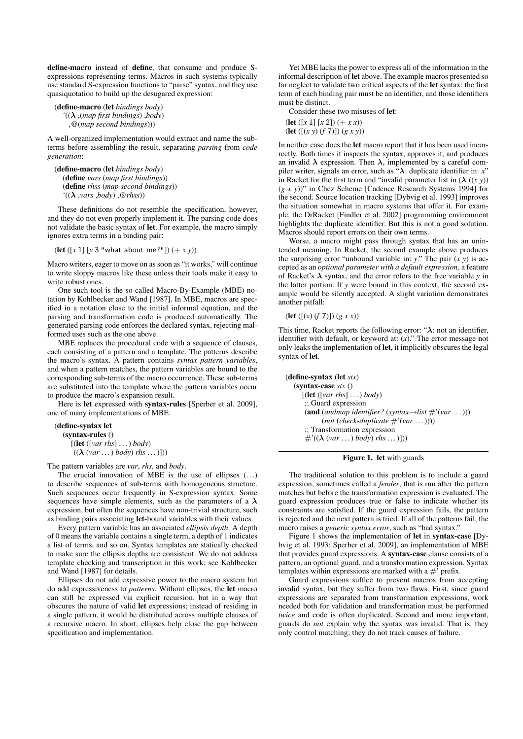define-macro instead of define, that consume and produce Sexpressions representing terms. Macros in such systems typically use standard S-expression functions to "parse" syntax, and they use quasiquotation to build up the desugared expression:

```
(define-macro (let bindings body)
  '((λ ,(map first bindings) ,body)
```
,@(*map second bindings*))) A well-organized implementation would extract and name the subterms before assembling the result, separating *parsing* from *code*

*generation*: (define-macro (let *bindings body*) (define *vars* (*map first bindings*)) (define *rhss* (*map second bindings*))  $((\lambda, vars, body), @rhs)$ 

These definitions do not resemble the specification, however, and they do not even properly implement it. The parsing code does not validate the basic syntax of let. For example, the macro simply ignores extra terms in a binding pair:

(let ([*x* 1] [*y* 3 "what about me?"]) (+ *x y*))

Macro writers, eager to move on as soon as "it works," will continue to write sloppy macros like these unless their tools make it easy to write robust ones.

One such tool is the so-called Macro-By-Example (MBE) notation by Kohlbecker and Wand [1987]. In MBE, macros are specified in a notation close to the initial informal equation, and the parsing and transformation code is produced automatically. The generated parsing code enforces the declared syntax, rejecting malformed uses such as the one above.

MBE replaces the procedural code with a sequence of clauses, each consisting of a pattern and a template. The patterns describe the macro's syntax. A pattern contains *syntax pattern variables*, and when a pattern matches, the pattern variables are bound to the corresponding sub-terms of the macro occurrence. These sub-terms are substituted into the template where the pattern variables occur to produce the macro's expansion result.

Here is let expressed with syntax-rules [Sperber et al. 2009], one of many implementations of MBE:

# (define-syntax let

#### (syntax-rules ()

[(let ([*var rhs*] . . . ) *body*)  $((\lambda (var...) body)$  *rhs* ...)]))

The pattern variables are *var*, *rhs*, and *body*.

The crucial innovation of MBE is the use of ellipses (. . .) to describe sequences of sub-terms with homogeneous structure. Such sequences occur frequently in S-expression syntax. Some sequences have simple elements, such as the parameters of a  $\lambda$ expression, but often the sequences have non-trivial structure, such as binding pairs associating let-bound variables with their values.

Every pattern variable has an associated *ellipsis depth*. A depth of 0 means the variable contains a single term, a depth of 1 indicates a list of terms, and so on. Syntax templates are statically checked to make sure the ellipsis depths are consistent. We do not address template checking and transcription in this work; see Kohlbecker and Wand [1987] for details.

Ellipses do not add expressive power to the macro system but do add expressiveness to *patterns*. Without ellipses, the let macro can still be expressed via explicit recursion, but in a way that obscures the nature of valid let expressions; instead of residing in a single pattern, it would be distributed across multiple clauses of a recursive macro. In short, ellipses help close the gap between specification and implementation.

Yet MBE lacks the power to express all of the information in the informal description of let above. The example macros presented so far neglect to validate two critical aspects of the let syntax: the first term of each binding pair must be an identifier, and those identifiers must be distinct.

Consider these two misuses of let:

 $(\text{let } ([x 1] [x 2]) (+ x x))$ (let ([(*x y*) (*f* 7)]) (*g x y*))

In neither case does the let macro report that it has been used incorrectly. Both times it inspects the syntax, approves it, and produces an invalid  $\lambda$  expression. Then  $\lambda$ , implemented by a careful compiler writer, signals an error, such as "λ: duplicate identifier in: *x*" in Racket for the first term and "invalid parameter list in  $(\lambda((x \nu)))$ (*g x y*))" in Chez Scheme [Cadence Research Systems 1994] for the second. Source location tracking [Dybvig et al. 1993] improves the situation somewhat in macro systems that offer it. For example, the DrRacket [Findler et al. 2002] programming environment highlights the duplicate identifier. But this is not a good solution. Macros should report errors on their own terms.

Worse, a macro might pass through syntax that has an unintended meaning. In Racket, the second example above produces the surprising error "unbound variable in: *y*." The pair (*x y*) is accepted as an *optional parameter with a default expression*, a feature of Racket's  $\lambda$  syntax, and the error refers to the free variable *y* in the latter portion. If *y* were bound in this context, the second example would be silently accepted. A slight variation demonstrates another pitfall:

(let ([(*x*) (*f* 7)]) (*g x x*))

This time, Racket reports the following error: " $\lambda$ : not an identifier, identifier with default, or keyword at: (*x*)." The error message not only leaks the implementation of let, it implicitly obscures the legal syntax of let.

(define-syntax (let *stx*) (syntax-case *stx* () [(let ([*var rhs*] . . . ) *body*) ;; Guard expression  $(\text{and } (\text{andmap identifier? } (\text{syntax} \rightarrow \text{list } #'(\text{var} \dots)))$  $(not (check-duplicate #'(var ...))))$ ;; Transformation expression  $\#'((\lambda (var \dots) body)$  *rhs* ...)]))

# Figure 1. let with guards

The traditional solution to this problem is to include a guard expression, sometimes called a *fender*, that is run after the pattern matches but before the transformation expression is evaluated. The guard expression produces true or false to indicate whether its constraints are satisfied. If the guard expression fails, the pattern is rejected and the next pattern is tried. If all of the patterns fail, the macro raises a *generic syntax error*, such as "bad syntax."

Figure 1 shows the implementation of let in syntax-case [Dybvig et al. 1993; Sperber et al. 2009], an implementation of MBE that provides guard expressions. A syntax-case clause consists of a pattern, an optional guard, and a transformation expression. Syntax templates within expressions are marked with a  $#'$  prefix.

Guard expressions suffice to prevent macros from accepting invalid syntax, but they suffer from two flaws. First, since guard expressions are separated from transformation expressions, work needed both for validation and transformation must be performed *twice* and code is often duplicated. Second and more important, guards do *not* explain why the syntax was invalid. That is, they only control matching; they do not track causes of failure.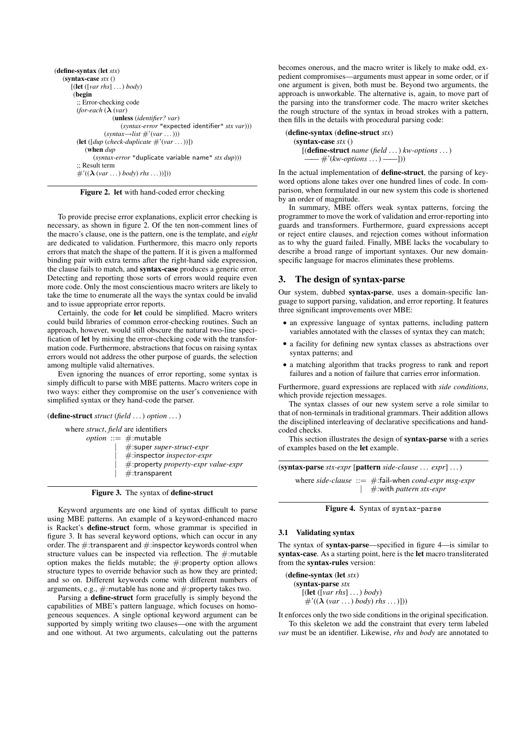```
(define-syntax (let stx)
  (syntax-case stx ()
     \left[[(let ([var rhs]...) body)
       (begin
        ;; Error-checking code
        (for-each (λ (var)
                     (unless (identifier? var)
                        (syntax-error "expected identifier" stx var)))
                  (syntax→list #'(var . . . )))
        (let ([dup (check-duplicate #'(var . . . ))])
           (when dup
              (syntax-error "duplicate variable name" stx dup)))
        ;; Result term
        \#'((\lambda (var \dots) body) rhs ...))]))
```
Figure 2. let with hand-coded error checking

To provide precise error explanations, explicit error checking is necessary, as shown in figure 2. Of the ten non-comment lines of the macro's clause, one is the pattern, one is the template, and *eight* are dedicated to validation. Furthermore, this macro only reports errors that match the shape of the pattern. If it is given a malformed binding pair with extra terms after the right-hand side expression, the clause fails to match, and syntax-case produces a generic error. Detecting and reporting those sorts of errors would require even more code. Only the most conscientious macro writers are likely to take the time to enumerate all the ways the syntax could be invalid and to issue appropriate error reports.

Certainly, the code for let could be simplified. Macro writers could build libraries of common error-checking routines. Such an approach, however, would still obscure the natural two-line specification of let by mixing the error-checking code with the transformation code. Furthermore, abstractions that focus on raising syntax errors would not address the other purpose of guards, the selection among multiple valid alternatives.

Even ignoring the nuances of error reporting, some syntax is simply difficult to parse with MBE patterns. Macro writers cope in two ways: either they compromise on the user's convenience with simplified syntax or they hand-code the parser.

#### (define-struct *struct* (*field* . . . ) *option* . . . )

where *struct*, *field* are identifiers *option* ::= #:mutable | #:super *super-struct-expr* | #:inspector *inspector-expr* | #:property *property-expr value-expr*  $#$ :transparent

# Figure 3. The syntax of define-struct

Keyword arguments are one kind of syntax difficult to parse using MBE patterns. An example of a keyword-enhanced macro is Racket's define-struct form, whose grammar is specified in figure 3. It has several keyword options, which can occur in any order. The  $\#$ :transparent and  $\#$ :inspector keywords control when structure values can be inspected via reflection. The #:mutable option makes the fields mutable; the  $#$ :property option allows structure types to override behavior such as how they are printed; and so on. Different keywords come with different numbers of arguments, e.g., #:mutable has none and #:property takes two.

Parsing a define-struct form gracefully is simply beyond the capabilities of MBE's pattern language, which focuses on homogeneous sequences. A single optional keyword argument can be supported by simply writing two clauses—one with the argument and one without. At two arguments, calculating out the patterns

becomes onerous, and the macro writer is likely to make odd, expedient compromises—arguments must appear in some order, or if one argument is given, both must be. Beyond two arguments, the approach is unworkable. The alternative is, again, to move part of the parsing into the transformer code. The macro writer sketches the rough structure of the syntax in broad strokes with a pattern, then fills in the details with procedural parsing code:

```
(define-syntax (define-struct stx)
  (syntax-case stx ()
     [(define-struct name (field . . . ) kw-options . . . )
          —— #'(kw-options . . . ) ——]))
```
In the actual implementation of define-struct, the parsing of keyword options alone takes over one hundred lines of code. In comparison, when formulated in our new system this code is shortened by an order of magnitude.

In summary, MBE offers weak syntax patterns, forcing the programmer to move the work of validation and error-reporting into guards and transformers. Furthermore, guard expressions accept or reject entire clauses, and rejection comes without information as to why the guard failed. Finally, MBE lacks the vocabulary to describe a broad range of important syntaxes. Our new domainspecific language for macros eliminates these problems.

#### 3. The design of syntax-parse

Our system, dubbed syntax-parse, uses a domain-specific language to support parsing, validation, and error reporting. It features three significant improvements over MBE:

- an expressive language of syntax patterns, including pattern variables annotated with the classes of syntax they can match;
- a facility for defining new syntax classes as abstractions over syntax patterns; and
- a matching algorithm that tracks progress to rank and report failures and a notion of failure that carries error information.

Furthermore, guard expressions are replaced with *side conditions*, which provide rejection messages.

The syntax classes of our new system serve a role similar to that of non-terminals in traditional grammars. Their addition allows the disciplined interleaving of declarative specifications and handcoded checks.

This section illustrates the design of syntax-parse with a series of examples based on the let example.

| $(syntax-parse$ stx-expr [pattern side-clause  expr] ) |                                                                               |  |
|--------------------------------------------------------|-------------------------------------------------------------------------------|--|
|                                                        | where $side-clause \rightarrow +f\text{-}f$ when $cond\text{-}err\text{-}grn$ |  |

where *side-clause* ::= #:fail-when *cond-expr msg-expr* | #:with *pattern stx-expr*

Figure 4. Syntax of syntax-parse

#### 3.1 Validating syntax

The syntax of syntax-parse—specified in figure 4—is similar to syntax-case. As a starting point, here is the let macro transliterated from the syntax-rules version:

```
(define-syntax (let stx)
  (syntax-parse stx
     [(let ([var rhs] . . . ) body)
      \#'((\lambda (var \dots) body) rhs ...)]))
```
It enforces only the two side conditions in the original specification. To this skeleton we add the constraint that every term labeled *var* must be an identifier. Likewise, *rhs* and *body* are annotated to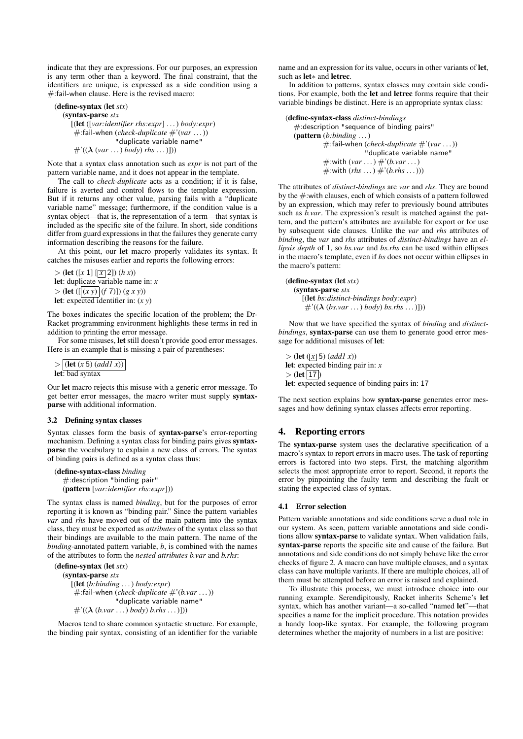indicate that they are expressions. For our purposes, an expression is any term other than a keyword. The final constraint, that the identifiers are unique, is expressed as a side condition using a  $#$ :fail-when clause. Here is the revised macro:

(define-syntax (let *stx*)

```
(syntax-parse stx
  [(let ([var:identifier rhs:expr] . . . ) body:expr)
   #:fail-when (check-duplicate #'(var . . . ))
                 "duplicate variable name"
```
 $\#'((\lambda (var \dots) body)$  *rhs* ...)]))

Note that a syntax class annotation such as *expr* is not part of the pattern variable name, and it does not appear in the template.

The call to *check-duplicate* acts as a condition; if it is false, failure is averted and control flows to the template expression. But if it returns any other value, parsing fails with a "duplicate variable name" message; furthermore, if the condition value is a syntax object—that is, the representation of a term—that syntax is included as the specific site of the failure. In short, side conditions differ from guard expressions in that the failures they generate carry information describing the reasons for the failure.

At this point, our let macro properly validates its syntax. It catches the misuses earlier and reports the following errors:

```
> (let ([x 1] [[x] 2]) (h x))
let: duplicate variable name in: x
> (let ([|(x y)|(f 7)]) (g x y))
let: expected identifier in: (x y)
```
The boxes indicates the specific location of the problem; the Dr-Racket programming environment highlights these terms in red in addition to printing the error message.

For some misuses, let still doesn't provide good error messages. Here is an example that is missing a pair of parentheses:

 $>$  (let  $(x 5)$  (*add1x*)) let: bad syntax

Our let macro rejects this misuse with a generic error message. To get better error messages, the macro writer must supply syntaxparse with additional information.

## 3.2 Defining syntax classes

Syntax classes form the basis of syntax-parse's error-reporting mechanism. Defining a syntax class for binding pairs gives syntaxparse the vocabulary to explain a new class of errors. The syntax of binding pairs is defined as a syntax class thus:

```
(define-syntax-class binding
  #:description "binding pair"
  (pattern [var:identifier rhs:expr]))
```
The syntax class is named *binding*, but for the purposes of error reporting it is known as "binding pair." Since the pattern variables *var* and *rhs* have moved out of the main pattern into the syntax class, they must be exported as *attributes* of the syntax class so that their bindings are available to the main pattern. The name of the *binding*-annotated pattern variable, *b*, is combined with the names of the attributes to form the *nested attributes b.var* and *b.rhs*:

(define-syntax (let *stx*) (syntax-parse *stx* [(let (*b:binding* . . . ) *body:expr*) #:fail-when (*check-duplicate* #'(*b.var* . . . )) "duplicate variable name"  $\#'((\lambda (b.var \dots) body) b.rhs \dots)])$ 

Macros tend to share common syntactic structure. For example, the binding pair syntax, consisting of an identifier for the variable name and an expression for its value, occurs in other variants of let, such as let∗ and letrec.

In addition to patterns, syntax classes may contain side conditions. For example, both the let and letrec forms require that their variable bindings be distinct. Here is an appropriate syntax class:

```
(define-syntax-class distinct-bindings
  #:description "sequence of binding pairs"
  (pattern (b:binding . . . )
            #:fail-when (check-duplicate #'(var . . . ))
                         "duplicate variable name"
            \#:with (var ...) \#'(b.var ...)
           \#:with (rhs ...)\#'(b.rhs ...)
```
The attributes of *distinct-bindings* are *var* and *rhs*. They are bound by the #:with clauses, each of which consists of a pattern followed by an expression, which may refer to previously bound attributes such as *b.var*. The expression's result is matched against the pattern, and the pattern's attributes are available for export or for use by subsequent side clauses. Unlike the *var* and *rhs* attributes of *binding*, the *var* and *rhs* attributes of *distinct-bindings* have an *ellipsis depth* of 1, so *bs.var* and *bs.rhs* can be used within ellipses in the macro's template, even if *bs* does not occur within ellipses in the macro's pattern:

```
(define-syntax (let stx)
  (syntax-parse stx
     [(let bs:distinct-bindings body:expr)
      \#'((\lambda (bs.var \dots) body) bs.rhs \dots)])
```
Now that we have specified the syntax of *binding* and *distinctbindings*, syntax-parse can use them to generate good error message for additional misuses of let:

```
> (let (\sqrt{x}) 5) (add1x))
let: expected binding pair in: x
> (let \boxed{17})
let: expected sequence of binding pairs in: 17
```
The next section explains how syntax-parse generates error messages and how defining syntax classes affects error reporting.

# 4. Reporting errors

The syntax-parse system uses the declarative specification of a macro's syntax to report errors in macro uses. The task of reporting errors is factored into two steps. First, the matching algorithm selects the most appropriate error to report. Second, it reports the error by pinpointing the faulty term and describing the fault or stating the expected class of syntax.

#### 4.1 Error selection

Pattern variable annotations and side conditions serve a dual role in our system. As seen, pattern variable annotations and side conditions allow syntax-parse to validate syntax. When validation fails, syntax-parse reports the specific site and cause of the failure. But annotations and side conditions do not simply behave like the error checks of figure 2. A macro can have multiple clauses, and a syntax class can have multiple variants. If there are multiple choices, all of them must be attempted before an error is raised and explained.

To illustrate this process, we must introduce choice into our running example. Serendipitously, Racket inherits Scheme's let syntax, which has another variant—a so-called "named let"—that specifies a name for the implicit procedure. This notation provides a handy loop-like syntax. For example, the following program determines whether the majority of numbers in a list are positive: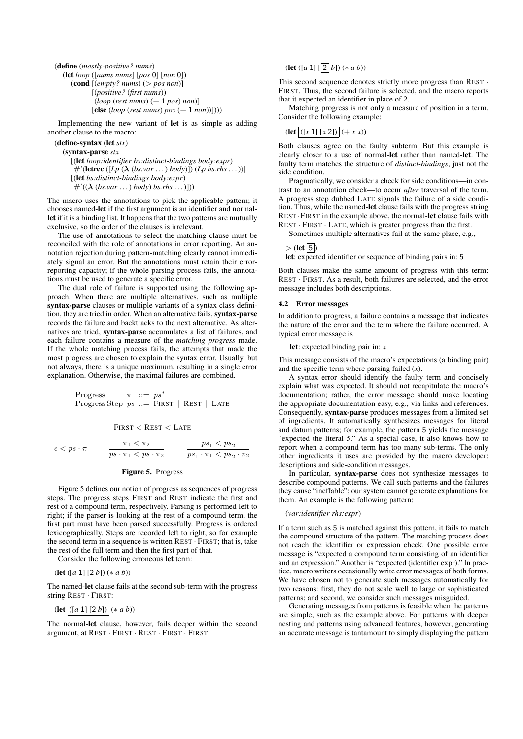(define (*mostly-positive? nums*) (let *loop* ([*nums nums*] [*pos* 0] [*non* 0]) (cond [(*empty? nums*) (> *pos non*)] [(*positive?* (*first nums*))  $(logo p (rest nums) (+ 1 pos) non)$ [else (*loop* (*rest nums*) *pos* (+ 1 *non*))])))

Implementing the new variant of let is as simple as adding another clause to the macro:

(define-syntax (let *stx*)

(syntax-parse *stx*

[(let *loop:identifier bs:distinct-bindings body:expr*) #'(letrec ([*Lp* (λ (*bs.var* . . . ) *body*)]) (*Lp bs.rhs* . . . ))] [(let *bs:distinct-bindings body:expr*)  $\#'((\lambda (bs.var \dots) body) bs.rhs \dots)])$ 

The macro uses the annotations to pick the applicable pattern; it chooses named-let if the first argument is an identifier and normallet if it is a binding list. It happens that the two patterns are mutually exclusive, so the order of the clauses is irrelevant.

The use of annotations to select the matching clause must be reconciled with the role of annotations in error reporting. An annotation rejection during pattern-matching clearly cannot immediately signal an error. But the annotations must retain their errorreporting capacity; if the whole parsing process fails, the annotations must be used to generate a specific error.

The dual role of failure is supported using the following approach. When there are multiple alternatives, such as multiple syntax-parse clauses or multiple variants of a syntax class definition, they are tried in order. When an alternative fails, syntax-parse records the failure and backtracks to the next alternative. As alternatives are tried, syntax-parse accumulates a list of failures, and each failure contains a measure of the *matching progress* made. If the whole matching process fails, the attempts that made the most progress are chosen to explain the syntax error. Usually, but not always, there is a unique maximum, resulting in a single error explanation. Otherwise, the maximal failures are combined.

> Progress  $\pi ::= ps^*$ Progress Step  $ps ::=$  FIRST | REST | LATE

$$
\mathrm{First} < \mathrm{Rest} < \mathrm{Late}
$$

| $\epsilon < ps \cdot \pi$ | $\pi_1 < \pi_2$                   | $ps_1 < ps_2$                         |
|---------------------------|-----------------------------------|---------------------------------------|
|                           | $ps \cdot \pi_1 < ps \cdot \pi_2$ | $ps_1 \cdot \pi_1 < ps_2 \cdot \pi_2$ |

#### Figure 5. Progress

Figure 5 defines our notion of progress as sequences of progress steps. The progress steps FIRST and REST indicate the first and rest of a compound term, respectively. Parsing is performed left to right; if the parser is looking at the rest of a compound term, the first part must have been parsed successfully. Progress is ordered lexicographically. Steps are recorded left to right, so for example the second term in a sequence is written REST · FIRST; that is, take the rest of the full term and then the first part of that.

Consider the following erroneous let term:

(let ([*a* 1] [2 *b*]) (∗ *a b*))

The named-let clause fails at the second sub-term with the progress string REST · FIRST:

$$
(\text{let } |([a 1] [2 b]) | (* a b))
$$

The normal-let clause, however, fails deeper within the second argument, at REST · FIRST · REST · FIRST · FIRST:

 $(\text{let } ([a 1] [\overline{2}] b]) (* a b))$ 

This second sequence denotes strictly more progress than REST · FIRST. Thus, the second failure is selected, and the macro reports that it expected an identifier in place of 2.

Matching progress is not only a measure of position in a term. Consider the following example:

$$
(let \, [(x\,1] \, [x\,2]) \, (+ \, x\, x))
$$

Both clauses agree on the faulty subterm. But this example is clearly closer to a use of normal-let rather than named-let. The faulty term matches the structure of *distinct-bindings*, just not the side condition.

Pragmatically, we consider a check for side conditions—in contrast to an annotation check—to occur *after* traversal of the term. A progress step dubbed LATE signals the failure of a side condition. Thus, while the named-let clause fails with the progress string REST ·FIRST in the example above, the normal-let clause fails with REST · FIRST · LATE, which is greater progress than the first.

Sometimes multiple alternatives fail at the same place, e.g.,

## $>$  (let |5)

let: expected identifier or sequence of binding pairs in: 5

Both clauses make the same amount of progress with this term: REST · FIRST. As a result, both failures are selected, and the error message includes both descriptions.

## 4.2 Error messages

In addition to progress, a failure contains a message that indicates the nature of the error and the term where the failure occurred. A typical error message is

let: expected binding pair in: *x*

This message consists of the macro's expectations (a binding pair) and the specific term where parsing failed (*x*).

A syntax error should identify the faulty term and concisely explain what was expected. It should not recapitulate the macro's documentation; rather, the error message should make locating the appropriate documentation easy, e.g., via links and references. Consequently, syntax-parse produces messages from a limited set of ingredients. It automatically synthesizes messages for literal and datum patterns; for example, the pattern 5 yields the message "expected the literal 5." As a special case, it also knows how to report when a compound term has too many sub-terms. The only other ingredients it uses are provided by the macro developer: descriptions and side-condition messages.

In particular, syntax-parse does not synthesize messages to describe compound patterns. We call such patterns and the failures they cause "ineffable"; our system cannot generate explanations for them. An example is the following pattern:

## (*var:identifier rhs:expr*)

If a term such as 5 is matched against this pattern, it fails to match the compound structure of the pattern. The matching process does not reach the identifier or expression check. One possible error message is "expected a compound term consisting of an identifier and an expression." Another is "expected (identifier expr)." In practice, macro writers occasionally write error messages of both forms. We have chosen not to generate such messages automatically for two reasons: first, they do not scale well to large or sophisticated patterns; and second, we consider such messages misguided.

Generating messages from patterns is feasible when the patterns are simple, such as the example above. For patterns with deeper nesting and patterns using advanced features, however, generating an accurate message is tantamount to simply displaying the pattern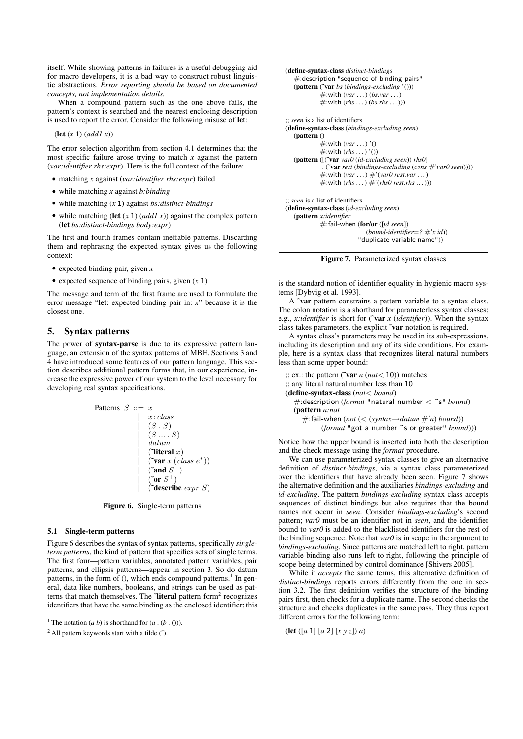itself. While showing patterns in failures is a useful debugging aid for macro developers, it is a bad way to construct robust linguistic abstractions. *Error reporting should be based on documented concepts, not implementation details.*

When a compound pattern such as the one above fails, the pattern's context is searched and the nearest enclosing description is used to report the error. Consider the following misuse of let:

(let (*x* 1) (*add1 x*))

The error selection algorithm from section 4.1 determines that the most specific failure arose trying to match *x* against the pattern (*var:identifier rhs:expr*). Here is the full context of the failure:

- matching *x* against (*var:identifier rhs:expr*) failed
- while matching *x* against *b:binding*
- while matching (*x* 1) against *bs:distinct-bindings*
- while matching (let  $(x 1)$   $(\text{add } 1 x)$ ) against the complex pattern (let *bs:distinct-bindings body:expr*)

The first and fourth frames contain ineffable patterns. Discarding them and rephrasing the expected syntax gives us the following context:

- expected binding pair, given *x*
- expected sequence of binding pairs, given (*x* 1)

The message and term of the first frame are used to formulate the error message "let: expected binding pair in: *x*" because it is the closest one.

# 5. Syntax patterns

The power of **syntax-parse** is due to its expressive pattern language, an extension of the syntax patterns of MBE. Sections 3 and 4 have introduced some features of our pattern language. This section describes additional pattern forms that, in our experience, increase the expressive power of our system to the level necessary for developing real syntax specifications.



Figure 6. Single-term patterns

#### 5.1 Single-term patterns

Figure 6 describes the syntax of syntax patterns, specifically *singleterm patterns*, the kind of pattern that specifies sets of single terms. The first four—pattern variables, annotated pattern variables, pair patterns, and ellipsis patterns—appear in section 3. So do datum patterns, in the form of (), which ends compound patterns.<sup>1</sup> In general, data like numbers, booleans, and strings can be used as patterns that match themselves. The "literal pattern form<sup>2</sup> recognizes identifiers that have the same binding as the enclosed identifier; this

```
(define-syntax-class distinct-bindings
  #:description "sequence of binding pairs"
  (pattern (˜var bs (bindings-excluding '()))
            #:with (var . . . ) (bs.var . . . )
            #:with (rhs . . . ) (bs.rhs . . . )))
;; seen is a list of identifiers
(define-syntax-class (bindings-excluding seen)
  (pattern ()
            #:with (var . . . ) '()
            #:with (rhs . . . ) '())
  (pattern ([(˜var var0 (id-excluding seen)) rhs0]
             . (˜var rest (bindings-excluding (cons #'var0 seen))))
            \#:with (var ...) \#'(var0 rest.var ...)
            \#:with (rhs ...) \#'(rhs \cdot (rhs \cdot ...)));; seen is a list of identifiers
(define-syntax-class (id-excluding seen)
  (pattern x:identifier
            #:fail-when (for/or ([id seen])
                             (bound-identifier=? #'x id))
                           "duplicate variable name"))
```


is the standard notion of identifier equality in hygienic macro systems [Dybvig et al. 1993].

A ~var pattern constrains a pattern variable to a syntax class. The colon notation is a shorthand for parameterless syntax classes; e.g., *x:identifier* is short for (˜var *x* (*identifier*)). When the syntax class takes parameters, the explicit ~var notation is required.

A syntax class's parameters may be used in its sub-expressions, including its description and any of its side conditions. For example, here is a syntax class that recognizes literal natural numbers less than some upper bound:

```
;; ex.: the pattern (˜var n (nat< 10)) matches
  ;; any literal natural number less than 10
  (define-syntax-class (nat< bound)
    #:description (format "natural number < ˜s" bound)
    (pattern n:nat
       \#:fail-when (not (< (syntax\rightarrowdatum \#'n) bound))
             (format "got a number ˜s or greater" bound)))
Notice how the upper bound is inserted into both the description
```
and the check message using the *format* procedure. We can use parameterized syntax classes to give an alternative definition of *distinct-bindings*, via a syntax class parameterized over the identifiers that have already been seen. Figure 7 shows the alternative definition and the auxiliaries *bindings-excluding* and *id-excluding*. The pattern *bindings-excluding* syntax class accepts sequences of distinct bindings but also requires that the bound names not occur in *seen*. Consider *bindings-excluding*'s second pattern; *var0* must be an identifier not in *seen*, and the identifier bound to *var0* is added to the blacklisted identifiers for the rest of the binding sequence. Note that *var0* is in scope in the argument to *bindings-excluding*. Since patterns are matched left to right, pattern variable binding also runs left to right, following the principle of scope being determined by control dominance [Shivers 2005].

While it *accepts* the same terms, this alternative definition of *distinct-bindings* reports errors differently from the one in section 3.2. The first definition verifies the structure of the binding pairs first, then checks for a duplicate name. The second checks the structure and checks duplicates in the same pass. They thus report different errors for the following term:

(let ([*a* 1] [*a* 2] [*x y z*]) *a*)

<sup>&</sup>lt;sup>1</sup>The notation (*a b*) is shorthand for (*a* . (*b* . ())).

 $2$  All pattern keywords start with a tilde ( $\tilde{ }$ ).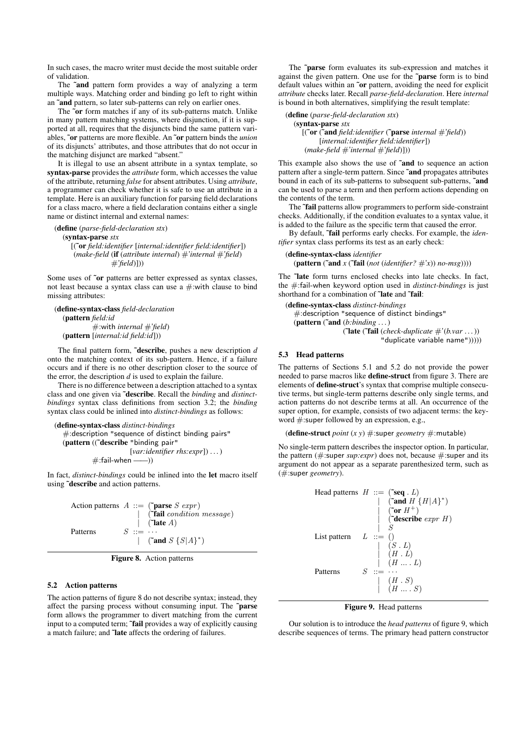In such cases, the macro writer must decide the most suitable order of validation.

The ~**and** pattern form provides a way of analyzing a term multiple ways. Matching order and binding go left to right within an ˜and pattern, so later sub-patterns can rely on earlier ones.

The ~or form matches if any of its sub-patterns match. Unlike in many pattern matching systems, where disjunction, if it is supported at all, requires that the disjuncts bind the same pattern variables, ˜or patterns are more flexible. An ˜or pattern binds the *union* of its disjuncts' attributes, and those attributes that do not occur in the matching disjunct are marked "absent."

It is illegal to use an absent attribute in a syntax template, so syntax-parse provides the *attribute* form, which accesses the value of the attribute, returning *false* for absent attributes. Using *attribute*, a programmer can check whether it is safe to use an attribute in a template. Here is an auxiliary function for parsing field declarations for a class macro, where a field declaration contains either a single name or distinct internal and external names:

(define (*parse-field-declaration stx*)

(syntax-parse *stx*

[(˜or *field:identifier* [*internal:identifier field:identifier*]) (*make-field* (if (*attribute internal*) #'*internal* #'*field*) #'*field*)]))

Some uses of ˜or patterns are better expressed as syntax classes, not least because a syntax class can use a  $\#$ :with clause to bind missing attributes:

(define-syntax-class *field-declaration* (pattern *field:id* #:with *internal* #'*field*) (pattern [*internal:id field:id*]))

The final pattern form, ˜describe, pushes a new description *d* onto the matching context of its sub-pattern. Hence, if a failure occurs and if there is no other description closer to the source of the error, the description  $d$  is used to explain the failure.

There is no difference between a description attached to a syntax class and one given via ˜describe. Recall the *binding* and *distinctbindings* syntax class definitions from section 3.2; the *binding* syntax class could be inlined into *distinct-bindings* as follows:

```
(define-syntax-class distinct-bindings
  #:description "sequence of distinct binding pairs"
  (pattern (("describe "binding pair"
                        [var:identifier rhs:expr]) ...)
            \#:fail-when \longrightarrow))
```
In fact, *distinct-bindings* could be inlined into the let macro itself using ˜describe and action patterns.





# 5.2 Action patterns

The action patterns of figure 8 do not describe syntax; instead, they affect the parsing process without consuming input. The ˜parse form allows the programmer to divert matching from the current input to a computed term; ˜fail provides a way of explicitly causing a match failure; and **Tate** affects the ordering of failures.

The ~parse form evaluates its sub-expression and matches it against the given pattern. One use for the ~parse form is to bind default values within an ˜or pattern, avoiding the need for explicit *attribute* checks later. Recall *parse-field-declaration*. Here *internal* is bound in both alternatives, simplifying the result template:

# (define (*parse-field-declaration stx*)

```
(syntax-parse stx
  [(˜or (˜and field:identifier (˜parse internal #'field))
        [internal:identifier field:identifier])
   (make-field #'internal #'field)]))
```
This example also shows the use of ~and to sequence an action pattern after a single-term pattern. Since ~and propagates attributes bound in each of its sub-patterns to subsequent sub-patterns, ˜and can be used to parse a term and then perform actions depending on the contents of the term.

The "fail patterns allow programmers to perform side-constraint checks. Additionally, if the condition evaluates to a syntax value, it is added to the failure as the specific term that caused the error.

By default, ˜fail performs early checks. For example, the *identifier* syntax class performs its test as an early check:

```
(define-syntax-class identifier
  (pattern (˜and x (˜fail (not (identifier? #'x)) no-msg))))
```
The **Tate** form turns enclosed checks into late checks. In fact, the #:fail-when keyword option used in *distinct-bindings* is just shorthand for a combination of **Tate** and **~fail**:

(define-syntax-class *distinct-bindings* #:description "sequence of distinct bindings" (pattern (˜and (*b:binding* . . . ) (˜late (˜fail (*check-duplicate* #'(*b.var* . . . )) "duplicate variable name")))))

## 5.3 Head patterns

The patterns of Sections 5.1 and 5.2 do not provide the power needed to parse macros like define-struct from figure 3. There are elements of define-struct's syntax that comprise multiple consecutive terms, but single-term patterns describe only single terms, and action patterns do not describe terms at all. An occurrence of the super option, for example, consists of two adjacent terms: the keyword  $\#$ : super followed by an expression, e.g.,

(**define-struct** *point*  $(x, y)$  #: super *geometry* #: mutable)

No single-term pattern describes the inspector option. In particular, the pattern  $(\#:\text{super }sup:expr)$  does not, because  $\#:\text{super }$  and its argument do not appear as a separate parenthesized term, such as (#:super *geometry*).



Figure 9. Head patterns

Our solution is to introduce the *head patterns* of figure 9, which describe sequences of terms. The primary head pattern constructor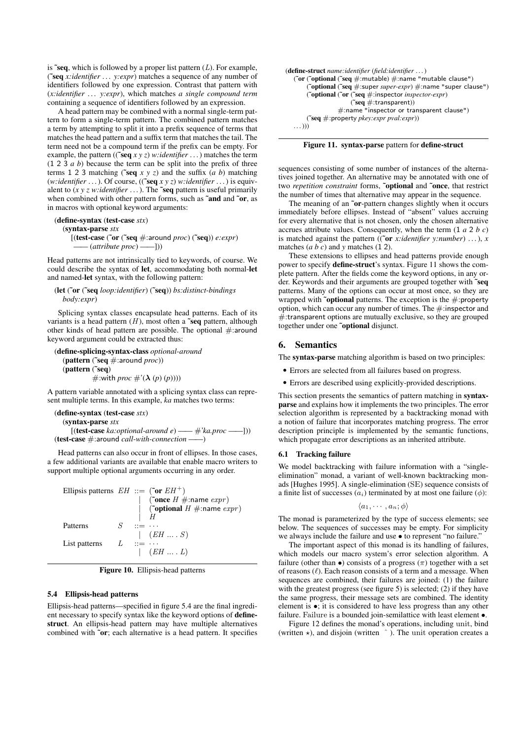is ~seq, which is followed by a proper list pattern  $(L)$ . For example, ( $\tilde{\mathbf{c}}$ **seq** *x:identifier* ... *y:expr*) matches a sequence of any number of identifiers followed by one expression. Contrast that pattern with (*x:identifier* . . . *y:expr*), which matches *a single compound term* containing a sequence of identifiers followed by an expression.

A head pattern may be combined with a normal single-term pattern to form a single-term pattern. The combined pattern matches a term by attempting to split it into a prefix sequence of terms that matches the head pattern and a suffix term that matches the tail. The term need not be a compound term if the prefix can be empty. For example, the pattern  $((\tilde{\text{seq}} x y z) w: identifier ...)$  matches the term (1 2 3 *a b*) because the term can be split into the prefix of three terms 1 2 3 matching ( $\tilde{\text{seq}} x y z$ ) and the suffix  $\tilde{a} b$ ) matching (*w:identifier* . . . ). Of course, ((˜seq *x y z*) *w:identifier* . . . ) is equivalent to  $(x \, y \, z \, w$ :*identifier* ...). The ~seq pattern is useful primarily when combined with other pattern forms, such as **~and** and **~or**, as in macros with optional keyword arguments:

(define-syntax (test-case *stx*)

```
(syntax-parse stx
```
[(test-case (˜or (˜seq #:around *proc*) (˜seq)) *e:expr*) —— (*attribute proc*) ——]))

Head patterns are not intrinsically tied to keywords, of course. We could describe the syntax of let, accommodating both normal-let and named-let syntax, with the following pattern:

#### (let (˜or (˜seq *loop:identifier*) (˜seq)) *bs:distinct-bindings body:expr*)

Splicing syntax classes encapsulate head patterns. Each of its variants is a head pattern  $(H)$ , most often a ~seq pattern, although other kinds of head pattern are possible. The optional #:around keyword argument could be extracted thus:

(define-splicing-syntax-class *optional-around* (pattern (˜seq #:around *proc*)) (pattern (˜seq)  $\#$ :with *proc*  $\#$ '( $\lambda$  (*p*) (*p*))))

A pattern variable annotated with a splicing syntax class can represent multiple terms. In this example, *ka* matches two terms:

(define-syntax (test-case *stx*)

```
(syntax-parse stx
```
[(test-case *ka:optional-around e*) —— #'*ka.proc* ——])) (test-case #:around *call-with-connection* ——)

Head patterns can also occur in front of ellipses. In those cases, a few additional variants are available that enable macro writers to support multiple optional arguments occurring in any order.

| Ellipsis patterns $EH ::= (\text{for } EH^+)$ |   |                                  |
|-----------------------------------------------|---|----------------------------------|
|                                               |   | ("once $H \#$ :name $expr$ )     |
|                                               |   | ("optional $H \#$ :name $expr$ ) |
|                                               |   |                                  |
| Patterns                                      | S |                                  |
|                                               |   | $\mid$ $(EH \dots S)$            |
| List patterns                                 |   |                                  |
|                                               |   | $(EH \dots L)$                   |

Figure 10. Ellipsis-head patterns

## 5.4 Ellipsis-head patterns

Ellipsis-head patterns—specified in figure 5.4 are the final ingredient necessary to specify syntax like the keyword options of definestruct. An ellipsis-head pattern may have multiple alternatives combined with ~or; each alternative is a head pattern. It specifies



Figure 11. syntax-parse pattern for define-struct

sequences consisting of some number of instances of the alternatives joined together. An alternative may be annotated with one of two *repetition constraint* forms, ~optional and ~once, that restrict the number of times that alternative may appear in the sequence.

The meaning of an ~or-pattern changes slightly when it occurs immediately before ellipses. Instead of "absent" values accruing for every alternative that is not chosen, only the chosen alternative accrues attribute values. Consequently, when the term (1 *a* 2 *b c*) is matched against the pattern (( $\tilde{\text{Cor}}$  *x:identifier y:number*) ...), *x* matches (*a b c*) and *y* matches (1 2).

These extensions to ellipses and head patterns provide enough power to specify define-struct's syntax. Figure 11 shows the complete pattern. After the fields come the keyword options, in any order. Keywords and their arguments are grouped together with ~seq patterns. Many of the options can occur at most once, so they are wrapped with **~optional** patterns. The exception is the  $\#$ : property option, which can occur any number of times. The #:inspector and #:transparent options are mutually exclusive, so they are grouped together under one ˜optional disjunct.

# 6. Semantics

The syntax-parse matching algorithm is based on two principles:

- Errors are selected from all failures based on progress.
- Errors are described using explicitly-provided descriptions.

This section presents the semantics of pattern matching in syntaxparse and explains how it implements the two principles. The error selection algorithm is represented by a backtracking monad with a notion of failure that incorporates matching progress. The error description principle is implemented by the semantic functions, which propagate error descriptions as an inherited attribute.

## 6.1 Tracking failure

We model backtracking with failure information with a "singleelimination" monad, a variant of well-known backtracking monads [Hughes 1995]. A single-elimination (SE) sequence consists of a finite list of successes  $(a_i)$  terminated by at most one failure  $(\phi)$ :

$$
\langle a_1,\cdots,a_n;\phi\rangle
$$

The monad is parameterized by the type of success elements; see below. The sequences of successes may be empty. For simplicity we always include the failure and use • to represent "no failure."

The important aspect of this monad is its handling of failures, which models our macro system's error selection algorithm. A failure (other than  $\bullet$ ) consists of a progress  $(\pi)$  together with a set of reasons  $(\ell)$ . Each reason consists of a term and a message. When sequences are combined, their failures are joined: (1) the failure with the greatest progress (see figure 5) is selected; (2) if they have the same progress, their message sets are combined. The identity element is •; it is considered to have less progress than any other failure. Failure is a bounded join-semilattice with least element  $\bullet$ .

Figure 12 defines the monad's operations, including unit, bind (written  $\star$ ), and disjoin (written  $\hat{\ }$ ). The unit operation creates a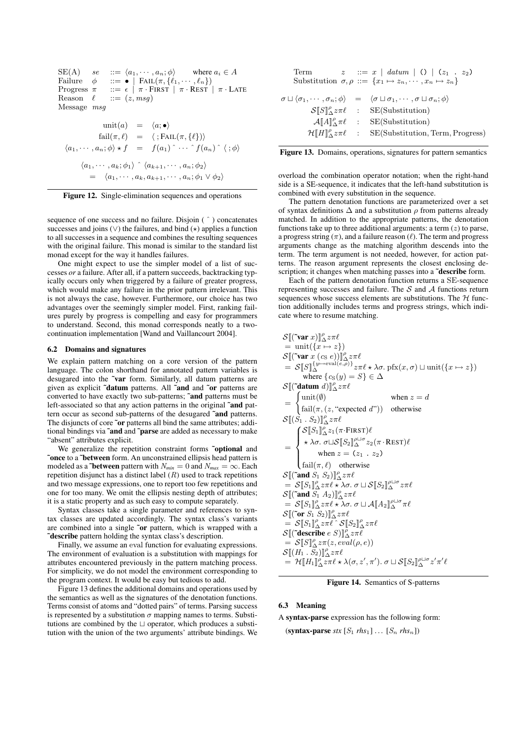SE(A) 
$$
se ::= \langle a_1, \dots, a_n; \phi \rangle
$$
 where  $a_i \in A$   
Failure  $\phi ::= \bullet | \text{FAIL}(\pi, \{ \ell_1, \dots, \ell_n \})$   
Progress  $\pi ::= \epsilon | \pi \cdot \text{FIRST} | \pi \cdot \text{REST} | \pi \cdot \text{LATE}$   
Reason  $\ell ::= (z, msg)$   
Message *msg*

$$
\text{unit}(a) = \langle a; \bullet \rangle
$$
\n
$$
\text{fail}(\pi, \ell) = \langle ; \text{FAIL}(\pi, \{\ell\}) \rangle
$$
\n
$$
\langle a_1, \cdots, a_n; \phi \rangle \star f = f(a_1) \hat{\hspace{0.3cm}} \cdots \hat{\hspace{0.3cm}} f(a_n) \hat{\hspace{0.3cm}} \langle ; \phi \rangle
$$
\n
$$
\langle a_1, \cdots, a_k; \phi_1 \rangle \hat{\hspace{0.3cm}} \langle a_{k+1}, \cdots, a_n; \phi_2 \rangle
$$
\n
$$
= \langle a_1, \cdots, a_k, a_{k+1}, \cdots, a_n; \phi_1 \vee \phi_2 \rangle
$$

Figure 12. Single-elimination sequences and operations

sequence of one success and no failure. Disjoin ( $\hat{ }$ ) concatenates successes and joins  $(\vee)$  the failures, and bind  $(\star)$  applies a function to all successes in a sequence and combines the resulting sequences with the original failure. This monad is similar to the standard list monad except for the way it handles failures.

One might expect to use the simpler model of a list of successes *or* a failure. After all, if a pattern succeeds, backtracking typically occurs only when triggered by a failure of greater progress, which would make any failure in the prior pattern irrelevant. This is not always the case, however. Furthermore, our choice has two advantages over the seemingly simpler model. First, ranking failures purely by progress is compelling and easy for programmers to understand. Second, this monad corresponds neatly to a twocontinuation implementation [Wand and Vaillancourt 2004].

## 6.2 Domains and signatures

We explain pattern matching on a core version of the pattern language. The colon shorthand for annotated pattern variables is desugared into the ˜var form. Similarly, all datum patterns are given as explicit ˜datum patterns. All ˜and and ˜or patterns are converted to have exactly two sub-patterns; ˜and patterns must be left-associated so that any action patterns in the original ~and pattern occur as second sub-patterns of the desugared ˜and patterns. The disjuncts of core ~or patterns all bind the same attributes; additional bindings via ~and and ~parse are added as necessary to make "absent" attributes explicit.

We generalize the repetition constraint forms ~optional and ˜once to a ˜between form. An unconstrained ellipsis head pattern is modeled as a **<sup>n</sup>between** pattern with  $N_{min} = 0$  and  $N_{max} = \infty$ . Each repetition disjunct has a distinct label  $(R)$  used to track repetitions and two message expressions, one to report too few repetitions and one for too many. We omit the ellipsis nesting depth of attributes; it is a static property and as such easy to compute separately.

Syntax classes take a single parameter and references to syntax classes are updated accordingly. The syntax class's variants are combined into a single ~or pattern, which is wrapped with a ˜describe pattern holding the syntax class's description.

Finally, we assume an eval function for evaluating expressions. The environment of evaluation is a substitution with mappings for attributes encountered previously in the pattern matching process. For simplicity, we do not model the environment corresponding to the program context. It would be easy but tedious to add.

Figure 13 defines the additional domains and operations used by the semantics as well as the signatures of the denotation functions. Terms consist of atoms and "dotted pairs" of terms. Parsing success is represented by a substitution  $\sigma$  mapping names to terms. Substitutions are combined by the  $\sqcup$  operator, which produces a substitution with the union of the two arguments' attribute bindings. We

Term 
$$
z ::= x \mid datum \mid \text{()} \mid (z_1 \ldots z_2)
$$
  
\nSubstitution  $\sigma, \rho ::= \{x_1 \mapsto z_n, \dots, x_n \mapsto z_n\}$   
\n $\sigma \sqcup \langle \sigma_1, \dots, \sigma_n; \phi \rangle = \langle \sigma \sqcup \sigma_1, \dots, \sigma \sqcup \sigma_n; \phi \rangle$   
\n $S[\![S]\!]_{\Delta}^{\rho} z \pi \ell : SE(Substitution)\n $\mathcal{A}[\![A]\!]_{\Delta}^{\rho} \pi \ell : SE(Substitution, Term, Progress)$$ 

Figure 13. Domains, operations, signatures for pattern semantics

overload the combination operator notation; when the right-hand side is a SE-sequence, it indicates that the left-hand substitution is combined with every substitution in the sequence.

The pattern denotation functions are parameterized over a set of syntax definitions  $\Delta$  and a substitution  $\rho$  from patterns already matched. In addition to the appropriate patterns, the denotation functions take up to three additional arguments: a term  $(z)$  to parse, a progress string  $(\pi)$ , and a failure reason  $(\ell)$ . The term and progress arguments change as the matching algorithm descends into the term. The term argument is not needed, however, for action patterns. The reason argument represents the closest enclosing description; it changes when matching passes into a ~describe form.

Each of the pattern denotation function returns a SE-sequence representing successes and failure. The  $S$  and  $A$  functions return sequences whose success elements are substitutions. The  $H$  function additionally includes terms and progress strings, which indicate where to resume matching.

| $\mathcal{S}$ ("var x) $\mathcal{Z}$ $\pi \ell$                                                                                                                                                                                                                                                                                                        |
|--------------------------------------------------------------------------------------------------------------------------------------------------------------------------------------------------------------------------------------------------------------------------------------------------------------------------------------------------------|
| $= \text{unit}(\{x \mapsto z\})$                                                                                                                                                                                                                                                                                                                       |
| $S\ (\text{var } x\,(c_{\text{S}}\,e))\ _{\Delta}^{\rho} z\pi\ell$                                                                                                                                                                                                                                                                                     |
| $=\mathcal{S}\llbracket S\rrbracket_{\Lambda}^{\{y\mapsto \text{eval}(e,\rho)\}} z\pi\ell \star \lambda\sigma. \text{pfx}(x,\sigma) \sqcup \text{unit}(\{x \mapsto z\})$                                                                                                                                                                               |
| where $\{c_S(y) = S\} \in \Delta$                                                                                                                                                                                                                                                                                                                      |
| $\mathcal{S}$ (*datum d) $\mathcal{S}_\Delta$ $z \pi \ell$                                                                                                                                                                                                                                                                                             |
| when $z = d$                                                                                                                                                                                                                                                                                                                                           |
| = $\begin{cases} \text{unit}(\emptyset) & \text{when } z = \\ \text{fail}(\pi, (z, \text{``expected } d\text{''})) & \text{otherwise} \end{cases}$                                                                                                                                                                                                     |
| $\mathcal{S}[(S_1 \cdot S_2)]_{\wedge}^{\rho} z \pi \ell$                                                                                                                                                                                                                                                                                              |
| $\hspace{0.5cm}=\begin{cases} \mathcal{S}[\![S_1]\!]^\rho_\Delta z_1(\pi\cdot\mathrm{FIRST})\ell \\\times \lambda\sigma.\ \sigma\sqcup \mathcal{S}[\![S_2]\!]^\rho_\Delta\hspace{-0.05cm}\vartriangle z_2(\pi\cdot\mathrm{REST})\ell \\\hspace{0.05cm}\text{when}\ z=(z_1\ .\ z_2) \\\text{fail}(\pi,\ell)\hspace{0.05cm}\text{otherwise} \end{cases}$ |
|                                                                                                                                                                                                                                                                                                                                                        |
|                                                                                                                                                                                                                                                                                                                                                        |
|                                                                                                                                                                                                                                                                                                                                                        |
| $\mathcal{S}$ (*and $S_1 S_2$ ) $\mathcal{S}_2 \uparrow \mathcal{Z}$                                                                                                                                                                                                                                                                                   |
| $\mathcal{S}$    and $\mathcal{S}_1 \mathcal{S}_2$    $\Delta \mathcal{S}_3$    $\Delta \mathcal{S}_4$    $\Delta \mathcal{S}_5$    $\Delta \mathcal{S}_5$    $\Delta \mathcal{S}_6$    $\Delta \mathcal{S}_7$    $\Delta \mathcal{S}_8$    $\Delta \mathcal{S}_7$    $\Delta \mathcal{S}_8$    $\Delta \mathcal{S}_7$                                 |
| $S\ $ ("and $S_1 A_2\ $ " $\pi \ell$                                                                                                                                                                                                                                                                                                                   |
| $\mathcal{S}[\![\mathfrak{c} \text{ and } S_1 \ A_2]\!]_{\Delta}^r z \pi \ell$<br>= $\mathcal{S}[\![S_1]\!]_{\Delta}^{\rho} z \pi \ell \star \lambda \sigma. \ \sigma \sqcup \mathcal{A}[\![A_2]\!]_{\Delta}^{\rho \sqcup \sigma} \pi \ell$                                                                                                            |
| $S\ $ ("or $S_1 S_2\ $ $\wedge$ $z\pi\ell$                                                                                                                                                                                                                                                                                                             |
| $= S[S_1]_A^{\rho} z \pi \ell \hat{\;} S[S_2]_A^{\rho} z \pi \ell$                                                                                                                                                                                                                                                                                     |
| $S\ $ ("describe e S) $\ _{\Delta}^{\rho} z \pi \ell$                                                                                                                                                                                                                                                                                                  |
| $= \mathcal{S}[\![S]\!]_{\wedge}^{\rho} z \pi(z, eval(\rho, e))$                                                                                                                                                                                                                                                                                       |
| $\mathcal{S} \llbracket (H_1 \cdot S_2) \rrbracket^{\rho}$ $z \pi \ell$                                                                                                                                                                                                                                                                                |
| $= \ \mathcal{H} \llbracket H_1 \rrbracket_{\Delta}^{\rho} z \pi \ell \star \lambda(\sigma, z', \pi') \ldotp \sigma \sqcup \mathcal{S} \llbracket S_2 \rrbracket_{\wedge}^{\rho \sqcup \sigma} z' \pi' \ell$                                                                                                                                           |
|                                                                                                                                                                                                                                                                                                                                                        |

Figure 14. Semantics of S-patterns

## 6.3 Meaning

A syntax-parse expression has the following form:

(syntax-parse *stx*  $[S_1$  *rhs*<sub>1</sub>] . . .  $[S_n$  *rhs*<sub>n</sub>])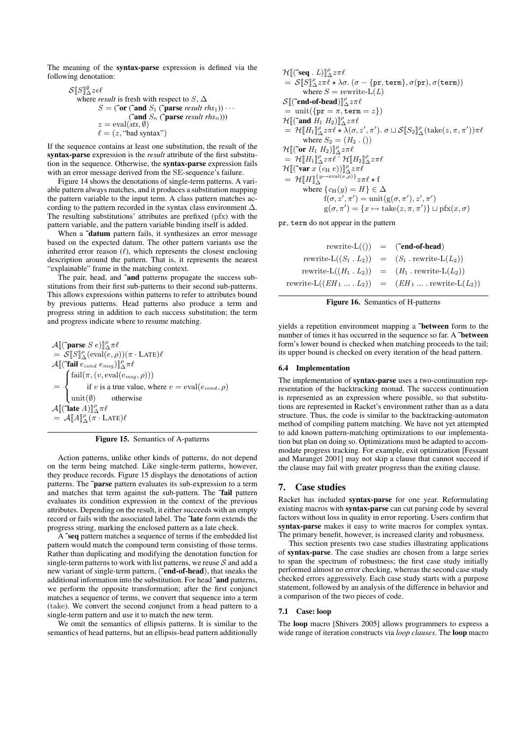The meaning of the syntax-parse expression is defined via the following denotation:

$$
S[\!] S[\!]_{\Delta}^{\emptyset} z \epsilon \ell
$$
  
where *result* is fresh with respect to *S*,  $\Delta$   
*S* = (**or** (**and** *S*<sub>1</sub> (**parse** *result rhs*<sub>1</sub>)) ···  
(**and** *S*<sub>n</sub> (**parse** *result rhs*<sub>n</sub>)))  
 $z = \text{eval}(stx, \emptyset)$   
 $\ell = (z, \text{``bad syntax''})$ 

If the sequence contains at least one substitution, the result of the syntax-parse expression is the *result* attribute of the first substitution in the sequence. Otherwise, the syntax-parse expression fails with an error message derived from the SE-sequence's failure.

Figure 14 shows the denotations of single-term patterns. A variable pattern always matches, and it produces a substitution mapping the pattern variable to the input term. A class pattern matches according to the pattern recorded in the syntax class environment  $\Delta$ . The resulting substitutions' attributes are prefixed (pfx) with the pattern variable, and the pattern variable binding itself is added.

When a ~datum pattern fails, it synthesizes an error message based on the expected datum. The other pattern variants use the inherited error reason  $(\ell)$ , which represents the closest enclosing description around the pattern. That is, it represents the nearest "explainable" frame in the matching context.

The pair, head, and ~and patterns propagate the success substitutions from their first sub-patterns to their second sub-patterns. This allows expressions within patterns to refer to attributes bound by previous patterns. Head patterns also produce a term and progress string in addition to each success substitution; the term and progress indicate where to resume matching.

$$
\mathcal{A}[\llbracket (\text{^\$parse } S \ e \rrbracket]^\rho_{\Delta} \pi \ell
$$
\n
$$
= \mathcal{S}[\llbracket S \rrbracket^\rho_{\Delta}(\text{eval}(e, \rho))(\pi \cdot \text{LATE})\ell
$$
\n
$$
\mathcal{A}[\llbracket (\text{^"fail } e_{cond} \ e_{msg}) \rrbracket^\rho_{\Delta} \pi \ell
$$
\n
$$
= \begin{cases}\n\text{fail}(\pi, (v, \text{eval}(e_{msg}, \rho))) \\
\quad \text{if } v \text{ is a true value, where } v = \text{eval}(e_{cond}, \rho) \\
\text{unit}(\emptyset) \\
\quad \text{otherwise}\n\end{cases}
$$
\n
$$
\mathcal{A}[\llbracket (\text{^"late } A) \rrbracket^\rho_{\Delta} \pi \ell
$$
\n
$$
= \mathcal{A}[\llbracket A \rrbracket^\rho_{\Delta}(\pi \cdot \text{LATE})\ell]
$$

Figure 15. Semantics of A-patterns

Action patterns, unlike other kinds of patterns, do not depend on the term being matched. Like single-term patterns, however, they produce records. Figure 15 displays the denotations of action patterns. The ~parse pattern evaluates its sub-expression to a term and matches that term against the sub-pattern. The ˜fail pattern evaluates its condition expression in the context of the previous attributes. Depending on the result, it either succeeds with an empty record or fails with the associated label. The **Tate** form extends the progress string, marking the enclosed pattern as a late check.

A ˜seq pattern matches a sequence of terms if the embedded list pattern would match the compound term consisting of those terms. Rather than duplicating and modifying the denotation function for single-term patterns to work with list patterns, we reuse  $S$  and add a new variant of single-term pattern, (~end-of-head), that sneaks the additional information into the substitution. For head ~and patterns, we perform the opposite transformation; after the first conjunct matches a sequence of terms, we convert that sequence into a term (take). We convert the second conjunct from a head pattern to a single-term pattern and use it to match the new term.

We omit the semantics of ellipsis patterns. It is similar to the semantics of head patterns, but an ellipsis-head pattern additionally

$$
\begin{aligned} &\mathcal{H}[\llbracket (\texttt{Seq}\,.\,L)]\rrbracket_{\Delta}^p z\pi\ell \\ &=\mathcal{S}[\llbracket S\rrbracket_{\Delta}^p z\pi\ell \star \lambda\sigma.\, (\sigma-\{\texttt{pr},\texttt{term}\},\sigma(\texttt{pr}),\sigma(\texttt{term}))\\ &\text{where } S=\text{rewrite-L}(L)\\ &\mathcal{S}[\llbracket (\texttt{cend-of-head})\rrbracket_{\Delta}^p z\pi\ell \\ &=\text{unit}\{\{\texttt{pr}=\pi,\texttt{term}=z\}\}\\ &\mathcal{H}[\llbracket (\texttt{and } H_1\ H_2)\rrbracket_{\Delta}^p z\pi\ell \\ &=\mathcal{H}[\llbracket H_1\rrbracket_{\Delta}^p z\pi\ell \star \lambda(\sigma,z',\pi'),\sigma\sqcup\mathcal{S}[\llbracket S_2\rrbracket_{\Delta}^p(\texttt{take}(z,\pi,\pi'))\pi\ell \\ &\text{where } S_2=[H_2\,.\,()\)\\ &\mathcal{H}[\llbracket (\texttt{for } H_1\ H_2)\rrbracket_{\Delta}^p z\pi\ell \\ &=\mathcal{H}[\llbracket H_1\rrbracket_{\Delta}^p z\pi\ell \star \mathcal{H}[\llbracket H_2\rrbracket_{\Delta}^p z\pi\ell \\ &\text{where } \{\texttt{c_H}(y)=H\}\in \Delta \\ &\text{if}(\sigma,z',\pi')=\text{unit}\{\texttt{g}(\sigma,\pi'),z',\pi')\\ &\text{g}(\sigma,\pi')=\{x\mapsto \texttt{take}(z,\pi,\pi')\}\sqcup\text{pfx}(x,\sigma) \end{aligned}
$$

pr, term do not appear in the pattern

|                                                                     | rewrite- $L(()) =$ ("end-of-head) |
|---------------------------------------------------------------------|-----------------------------------|
| rewrite- $L((S_1 \tcdot L_2)) = (S_1 \tcdot \text{rewrite-}L(L_2))$ |                                   |
| rewrite- $L((H_1, L_2)) = (H_1$ . rewrite- $L(L_2))$                |                                   |
| rewrite- $L((EH_1 \ldots L_2)) = (EH_1 \ldots$ rewrite- $L(L_2))$   |                                   |

Figure 16. Semantics of H-patterns

yields a repetition environment mapping a ˜between form to the number of times it has occurred in the sequence so far. A "between" form's lower bound is checked when matching proceeds to the tail; its upper bound is checked on every iteration of the head pattern.

#### 6.4 Implementation

The implementation of syntax-parse uses a two-continuation representation of the backtracking monad. The success continuation is represented as an expression where possible, so that substitutions are represented in Racket's environment rather than as a data structure. Thus, the code is similar to the backtracking-automaton method of compiling pattern matching. We have not yet attempted to add known pattern-matching optimizations to our implementation but plan on doing so. Optimizations must be adapted to accommodate progress tracking. For example, exit optimization [Fessant and Maranget 2001] may not skip a clause that cannot succeed if the clause may fail with greater progress than the exiting clause.

# 7. Case studies

Racket has included syntax-parse for one year. Reformulating existing macros with syntax-parse can cut parsing code by several factors without loss in quality in error reporting. Users confirm that syntax-parse makes it easy to write macros for complex syntax. The primary benefit, however, is increased clarity and robustness.

This section presents two case studies illustrating applications of syntax-parse. The case studies are chosen from a large series to span the spectrum of robustness; the first case study initially performed almost no error checking, whereas the second case study checked errors aggressively. Each case study starts with a purpose statement, followed by an analysis of the difference in behavior and a comparison of the two pieces of code.

#### 7.1 Case: loop

The loop macro [Shivers 2005] allows programmers to express a wide range of iteration constructs via *loop clauses*. The loop macro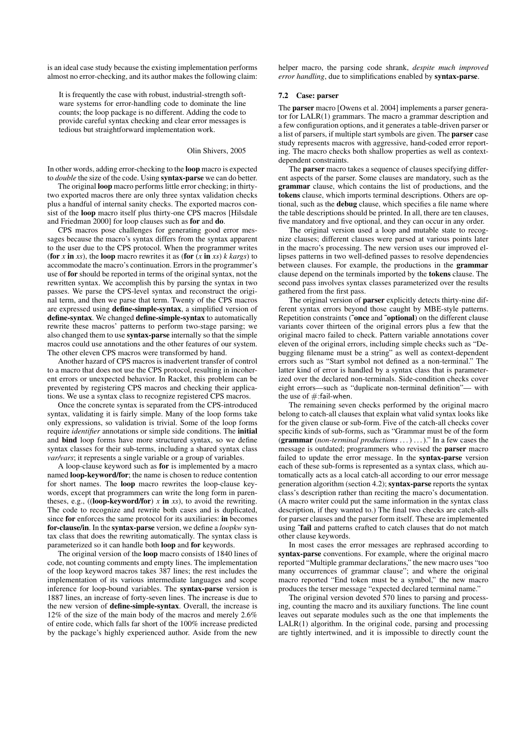is an ideal case study because the existing implementation performs almost no error-checking, and its author makes the following claim:

It is frequently the case with robust, industrial-strength software systems for error-handling code to dominate the line counts; the loop package is no different. Adding the code to provide careful syntax checking and clear error messages is tedious but straightforward implementation work.

## Olin Shivers, 2005

In other words, adding error-checking to the loop macro is expected to *double* the size of the code. Using syntax-parse we can do better.

The original loop macro performs little error checking; in thirtytwo exported macros there are only three syntax validation checks plus a handful of internal sanity checks. The exported macros consist of the loop macro itself plus thirty-one CPS macros [Hilsdale and Friedman 2000] for loop clauses such as for and do.

CPS macros pose challenges for generating good error messages because the macro's syntax differs from the syntax apparent to the user due to the CPS protocol. When the programmer writes (for *x* in *xs*), the loop macro rewrites it as (for  $(x \text{ in } xs)$ ) *k* kargs) to accommodate the macro's continuation. Errors in the programmer's use of for should be reported in terms of the original syntax, not the rewritten syntax. We accomplish this by parsing the syntax in two passes. We parse the CPS-level syntax and reconstruct the original term, and then we parse that term. Twenty of the CPS macros are expressed using define-simple-syntax, a simplified version of define-syntax. We changed define-simple-syntax to automatically rewrite these macros' patterns to perform two-stage parsing; we also changed them to use syntax-parse internally so that the simple macros could use annotations and the other features of our system. The other eleven CPS macros were transformed by hand.

Another hazard of CPS macros is inadvertent transfer of control to a macro that does not use the CPS protocol, resulting in incoherent errors or unexpected behavior. In Racket, this problem can be prevented by registering CPS macros and checking their applications. We use a syntax class to recognize registered CPS macros.

Once the concrete syntax is separated from the CPS-introduced syntax, validating it is fairly simple. Many of the loop forms take only expressions, so validation is trivial. Some of the loop forms require *identifier* annotations or simple side conditions. The initial and bind loop forms have more structured syntax, so we define syntax classes for their sub-terms, including a shared syntax class *var/vars*; it represents a single variable or a group of variables.

A loop-clause keyword such as for is implemented by a macro named loop-keyword/for; the name is chosen to reduce contention for short names. The loop macro rewrites the loop-clause keywords, except that programmers can write the long form in parentheses, e.g., ((loop-keyword/for)  $x$  in  $xs$ ), to avoid the rewriting. The code to recognize and rewrite both cases and is duplicated, since for enforces the same protocol for its auxiliaries: in becomes for-clause/in. In the syntax-parse version, we define a *loopkw* syntax class that does the rewriting automatically. The syntax class is parameterized so it can handle both loop and for keywords.

The original version of the loop macro consists of 1840 lines of code, not counting comments and empty lines. The implementation of the loop keyword macros takes 387 lines; the rest includes the implementation of its various intermediate languages and scope inference for loop-bound variables. The syntax-parse version is 1887 lines, an increase of forty-seven lines. The increase is due to the new version of define-simple-syntax. Overall, the increase is 12% of the size of the main body of the macros and merely 2.6% of entire code, which falls far short of the 100% increase predicted by the package's highly experienced author. Aside from the new

helper macro, the parsing code shrank, *despite much improved error handling*, due to simplifications enabled by syntax-parse.

#### 7.2 Case: parser

The parser macro [Owens et al. 2004] implements a parser generator for LALR(1) grammars. The macro a grammar description and a few configuration options, and it generates a table-driven parser or a list of parsers, if multiple start symbols are given. The parser case study represents macros with aggressive, hand-coded error reporting. The macro checks both shallow properties as well as contextdependent constraints.

The **parser** macro takes a sequence of clauses specifying different aspects of the parser. Some clauses are mandatory, such as the grammar clause, which contains the list of productions, and the tokens clause, which imports terminal descriptions. Others are optional, such as the debug clause, which specifies a file name where the table descriptions should be printed. In all, there are ten clauses, five mandatory and five optional, and they can occur in any order.

The original version used a loop and mutable state to recognize clauses; different clauses were parsed at various points later in the macro's processing. The new version uses our improved ellipses patterns in two well-defined passes to resolve dependencies between clauses. For example, the productions in the grammar clause depend on the terminals imported by the tokens clause. The second pass involves syntax classes parameterized over the results gathered from the first pass.

The original version of parser explicitly detects thirty-nine different syntax errors beyond those caught by MBE-style patterns. Repetition constraints (~once and ~optional) on the different clause variants cover thirteen of the original errors plus a few that the original macro failed to check. Pattern variable annotations cover eleven of the original errors, including simple checks such as "Debugging filename must be a string" as well as context-dependent errors such as "Start symbol not defined as a non-terminal." The latter kind of error is handled by a syntax class that is parameterized over the declared non-terminals. Side-condition checks cover eight errors—such as "duplicate non-terminal definition"— with the use of  $\#$ :fail-when.

The remaining seven checks performed by the original macro belong to catch-all clauses that explain what valid syntax looks like for the given clause or sub-form. Five of the catch-all checks cover specific kinds of sub-forms, such as "Grammar must be of the form (grammar (*non-terminal productions* . . . ) . . . )." In a few cases the message is outdated; programmers who revised the parser macro failed to update the error message. In the syntax-parse version each of these sub-forms is represented as a syntax class, which automatically acts as a local catch-all according to our error message generation algorithm (section 4.2); syntax-parse reports the syntax class's description rather than reciting the macro's documentation. (A macro writer could put the same information in the syntax class description, if they wanted to.) The final two checks are catch-alls for parser clauses and the parser form itself. These are implemented using ˜fail and patterns crafted to catch clauses that do not match other clause keywords.

In most cases the error messages are rephrased according to syntax-parse conventions. For example, where the original macro reported "Multiple grammar declarations," the new macro uses "too many occurrences of grammar clause"; and where the original macro reported "End token must be a symbol," the new macro produces the terser message "expected declared terminal name."

The original version devoted 570 lines to parsing and processing, counting the macro and its auxiliary functions. The line count leaves out separate modules such as the one that implements the  $LALR(1)$  algorithm. In the original code, parsing and processing are tightly intertwined, and it is impossible to directly count the